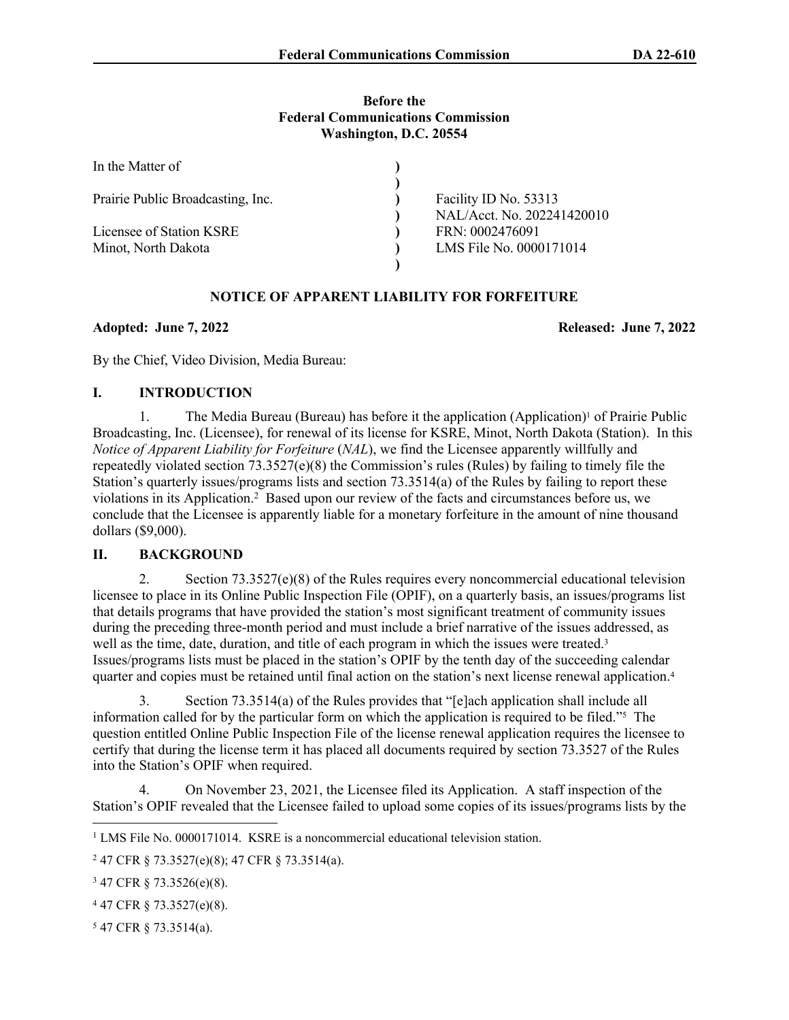#### **Before the Federal Communications Commission Washington, D.C. 20554**

| In the Matter of                  |                            |
|-----------------------------------|----------------------------|
|                                   |                            |
| Prairie Public Broadcasting, Inc. | Facility ID No. 53313      |
|                                   | NAL/Acct. No. 202241420010 |
| Licensee of Station KSRE          | FRN: 0002476091            |
| Minot, North Dakota               | LMS File No. 0000171014    |
|                                   |                            |

# **NOTICE OF APPARENT LIABILITY FOR FORFEITURE**

### **Adopted: June 7, 2022 Released: June 7, 2022**

By the Chief, Video Division, Media Bureau:

### **I. INTRODUCTION**

1. The Media Bureau (Bureau) has before it the application (Application)<sup>1</sup> of Prairie Public Broadcasting, Inc. (Licensee), for renewal of its license for KSRE, Minot, North Dakota (Station). In this *Notice of Apparent Liability for Forfeiture (NAL)*, we find the Licensee apparently willfully and repeatedly violated section  $73.3527(e)(8)$  the Commission's rules (Rules) by failing to timely file the Station's quarterly issues/programs lists and section 73.3514(a) of the Rules by failing to report these violations in its Application.<sup>2</sup> Based upon our review of the facts and circumstances before us, we conclude that the Licensee is apparently liable for a monetary forfeiture in the amount of nine thousand dollars (\$9,000).

## **II. BACKGROUND**

2. Section 73.3527(e)(8) of the Rules requires every noncommercial educational television licensee to place in its Online Public Inspection File (OPIF), on a quarterly basis, an issues/programs list that details programs that have provided the station's most significant treatment of community issues during the preceding three-month period and must include a brief narrative of the issues addressed, as well as the time, date, duration, and title of each program in which the issues were treated.<sup>3</sup> Issues/programs lists must be placed in the station's OPIF by the tenth day of the succeeding calendar quarter and copies must be retained until final action on the station's next license renewal application.<sup>4</sup>

3. Section 73.3514(a) of the Rules provides that "[e]ach application shall include all information called for by the particular form on which the application is required to be filed."<sup>5</sup> The question entitled Online Public Inspection File of the license renewal application requires the licensee to certify that during the license term it has placed all documents required by section 73.3527 of the Rules into the Station's OPIF when required.

4. On November 23, 2021, the Licensee filed its Application. A staff inspection of the Station's OPIF revealed that the Licensee failed to upload some copies of its issues/programs lists by the

5 47 CFR § 73.3514(a).

<sup>&</sup>lt;sup>1</sup> LMS File No. 0000171014. KSRE is a noncommercial educational television station.

<sup>2</sup> 47 CFR § 73.3527(e)(8); 47 CFR § 73.3514(a).

<sup>3</sup> 47 CFR § 73.3526(e)(8).

<sup>4</sup> 47 CFR § 73.3527(e)(8).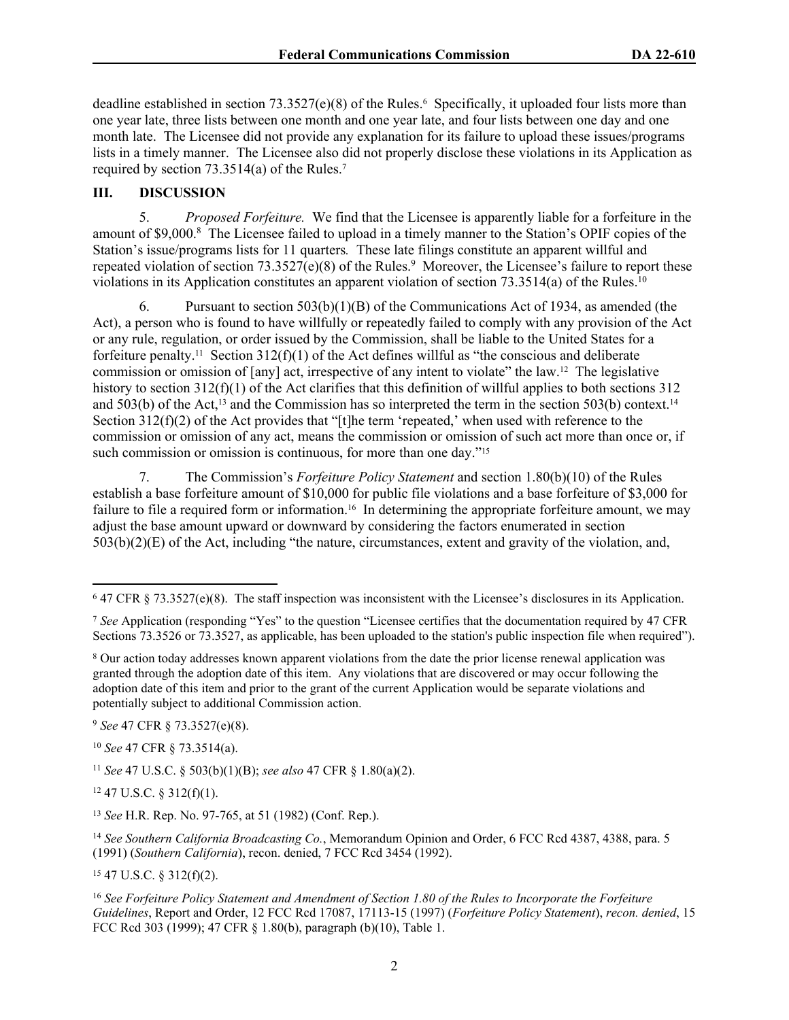deadline established in section 73.3527(e)(8) of the Rules.<sup>6</sup> Specifically, it uploaded four lists more than one year late, three lists between one month and one year late, and four lists between one day and one month late. The Licensee did not provide any explanation for its failure to upload these issues/programs lists in a timely manner. The Licensee also did not properly disclose these violations in its Application as required by section 73.3514(a) of the Rules.<sup>7</sup>

### **III. DISCUSSION**

5. *Proposed Forfeiture.* We find that the Licensee is apparently liable for a forfeiture in the amount of \$9,000.<sup>8</sup> The Licensee failed to upload in a timely manner to the Station's OPIF copies of the Station's issue/programs lists for 11 quarters*.* These late filings constitute an apparent willful and repeated violation of section 73.3527(e)(8) of the Rules.<sup>9</sup> Moreover, the Licensee's failure to report these violations in its Application constitutes an apparent violation of section 73.3514(a) of the Rules.<sup>10</sup>

6. Pursuant to section  $503(b)(1)(B)$  of the Communications Act of 1934, as amended (the Act), a person who is found to have willfully or repeatedly failed to comply with any provision of the Act or any rule, regulation, or order issued by the Commission, shall be liable to the United States for a forfeiture penalty.<sup>11</sup> Section 312(f)(1) of the Act defines will ful as "the conscious and deliberate commission or omission of [any] act, irrespective of any intent to violate" the law.12 The legislative history to section 312(f)(1) of the Act clarifies that this definition of willful applies to both sections 312 and 503(b) of the Act,<sup>13</sup> and the Commission has so interpreted the term in the section 503(b) context.<sup>14</sup> Section  $312(f)(2)$  of the Act provides that "[t]he term 'repeated,' when used with reference to the commission or omission of any act, means the commission or omission of such act more than once or, if such commission or omission is continuous, for more than one day."<sup>15</sup>

7. The Commission's *Forfeiture Policy Statement* and section 1.80(b)(10) of the Rules establish a base forfeiture amount of \$10,000 for public file violations and a base forfeiture of \$3,000 for failure to file a required form or information.<sup>16</sup> In determining the appropriate forfeiture amount, we may adjust the base amount upward or downward by considering the factors enumerated in section 503(b)(2)(E) of the Act, including "the nature, circumstances, extent and gravity of the violation, and,

<sup>9</sup> *See* 47 CFR § 73.3527(e)(8).

<sup>10</sup> *See* 47 CFR § 73.3514(a).

<sup>11</sup> *See* 47 U.S.C. § 503(b)(1)(B); *see also* 47 CFR § 1.80(a)(2).

 $12$  47 U.S.C. § 312(f)(1).

<sup>13</sup> *See* H.R. Rep. No. 97-765, at 51 (1982) (Conf. Rep.).

<sup>14</sup> *See Southern California Broadcasting Co.*, Memorandum Opinion and Order, 6 FCC Rcd 4387, 4388, para. 5 (1991) (*Southern California*), recon. denied, 7 FCC Rcd 3454 (1992).

 $15$  47 U.S.C. § 312(f)(2).

<sup>16</sup> *See Forfeiture Policy Statement and Amendment of Section 1.80 of the Rules to Incorporate the Forfeiture Guidelines*, Report and Order, 12 FCC Rcd 17087, 17113-15 (1997) (*Forfeiture Policy Statement*), *recon. denied*, 15 FCC Rcd 303 (1999); 47 CFR § 1.80(b), paragraph (b)(10), Table 1.

<sup>6</sup> 47 CFR § 73.3527(e)(8). The staff inspection was inconsistent with the Licensee's disclosures in its Application.

<sup>7</sup> *See* Application (responding "Yes" to the question "Licensee certifies that the documentation required by 47 CFR Sections 73.3526 or 73.3527, as applicable, has been uploaded to the station's public inspection file when required").

<sup>&</sup>lt;sup>8</sup> Our action today addresses known apparent violations from the date the prior license renewal application was granted through the adoption date of this item. Any violations that are discovered or may occur following the adoption date of this item and prior to the grant of the current Application would be separate violations and potentially subject to additional Commission action.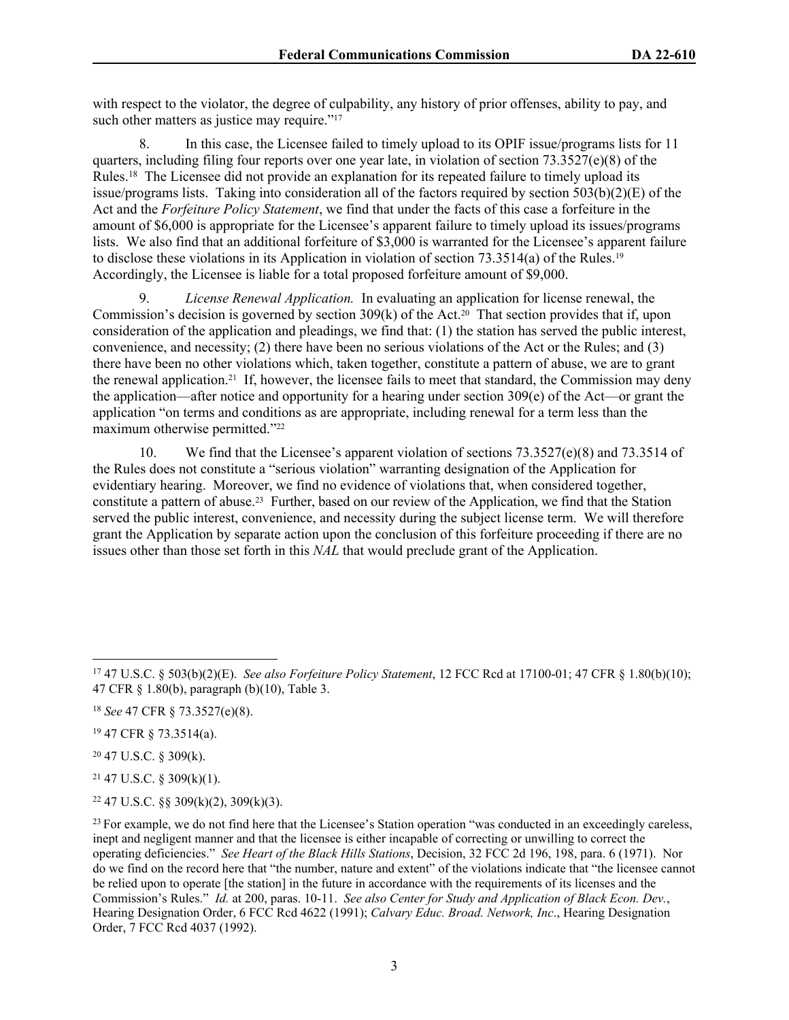with respect to the violator, the degree of culpability, any history of prior offenses, ability to pay, and such other matters as justice may require."<sup>17</sup>

8. In this case, the Licensee failed to timely upload to its OPIF issue/programs lists for 11 quarters, including filing four reports over one year late, in violation of section 73.3527(e)(8) of the Rules.<sup>18</sup> The Licensee did not provide an explanation for its repeated failure to timely upload its issue/programs lists. Taking into consideration all of the factors required by section 503(b)(2)(E) of the Act and the *Forfeiture Policy Statement*, we find that under the facts of this case a forfeiture in the amount of \$6,000 is appropriate for the Licensee's apparent failure to timely upload its issues/programs lists. We also find that an additional forfeiture of \$3,000 is warranted for the Licensee's apparent failure to disclose these violations in its Application in violation of section 73.3514(a) of the Rules.<sup>19</sup> Accordingly, the Licensee is liable for a total proposed forfeiture amount of \$9,000.

9. *License Renewal Application.* In evaluating an application for license renewal, the Commission's decision is governed by section  $309(k)$  of the Act.<sup>20</sup> That section provides that if, upon consideration of the application and pleadings, we find that: (1) the station has served the public interest, convenience, and necessity; (2) there have been no serious violations of the Act or the Rules; and (3) there have been no other violations which, taken together, constitute a pattern of abuse, we are to grant the renewal application.<sup>21</sup> If, however, the licensee fails to meet that standard, the Commission may deny the application—after notice and opportunity for a hearing under section 309(e) of the Act—or grant the application "on terms and conditions as are appropriate, including renewal for a term less than the maximum otherwise permitted."<sup>22</sup>

10. We find that the Licensee's apparent violation of sections 73.3527(e)(8) and 73.3514 of the Rules does not constitute a "serious violation" warranting designation of the Application for evidentiary hearing. Moreover, we find no evidence of violations that, when considered together, constitute a pattern of abuse.23 Further, based on our review of the Application, we find that the Station served the public interest, convenience, and necessity during the subject license term. We will therefore grant the Application by separate action upon the conclusion of this forfeiture proceeding if there are no issues other than those set forth in this *NAL* that would preclude grant of the Application.

<sup>20</sup> 47 U.S.C. § 309(k).

 $21$  47 U.S.C. § 309(k)(1).

 $22$  47 U.S.C. §§ 309(k)(2), 309(k)(3).

<sup>17</sup> 47 U.S.C. § 503(b)(2)(E). *See also Forfeiture Policy Statement*, 12 FCC Rcd at 17100-01; 47 CFR § 1.80(b)(10); 47 CFR § 1.80(b), paragraph (b)(10), Table 3.

<sup>18</sup> *See* 47 CFR § 73.3527(e)(8).

<sup>19</sup> 47 CFR § 73.3514(a).

<sup>&</sup>lt;sup>23</sup> For example, we do not find here that the Licensee's Station operation "was conducted in an exceedingly careless, inept and negligent manner and that the licensee is either incapable of correcting or unwilling to correct the operating deficiencies." *See Heart of the Black Hills Stations*, Decision, 32 FCC 2d 196, 198, para. 6 (1971). Nor do we find on the record here that "the number, nature and extent" of the violations indicate that "the licensee cannot be relied upon to operate [the station] in the future in accordance with the requirements of its licenses and the Commission's Rules." *Id.* at 200, paras. 10-11. *See also Center for Study and Application of Black Econ. Dev.*, Hearing Designation Order, 6 FCC Rcd 4622 (1991); *Calvary Educ. Broad. Network, Inc*., Hearing Designation Order, 7 FCC Rcd 4037 (1992).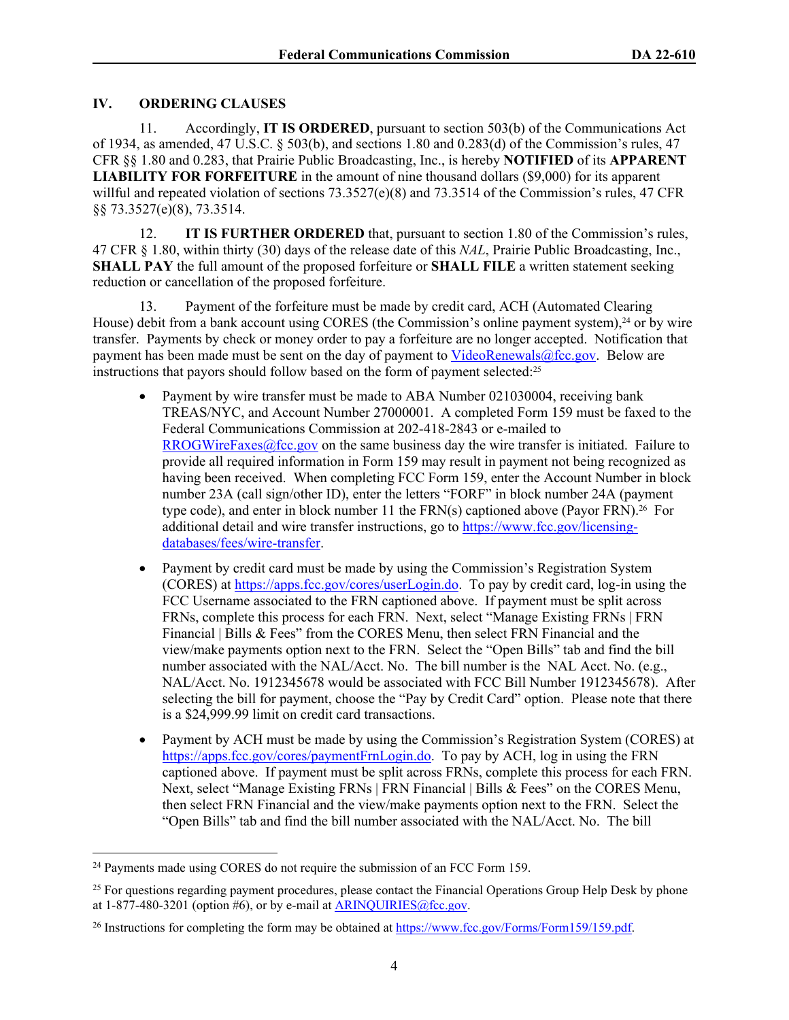### **IV. ORDERING CLAUSES**

11. Accordingly, **IT IS ORDERED**, pursuant to section 503(b) of the Communications Act of 1934, as amended, 47 U.S.C.  $\S$  503(b), and sections 1.80 and 0.283(d) of the Commission's rules, 47 CFR §§ 1.80 and 0.283, that Prairie Public Broadcasting, Inc., is hereby **NOTIFIED** of its **APPARENT LIABILITY FOR FORFEITURE** in the amount of nine thousand dollars (\$9,000) for its apparent willful and repeated violation of sections 73.3527(e)(8) and 73.3514 of the Commission's rules, 47 CFR §§ 73.3527(e)(8), 73.3514.

12. **IT IS FURTHER ORDERED** that, pursuant to section 1.80 of the Commission's rules, 47 CFR § 1.80, within thirty (30) days of the release date of this *NAL*, Prairie Public Broadcasting, Inc., **SHALL PAY** the full amount of the proposed forfeiture or **SHALL FILE** a written statement seeking reduction or cancellation of the proposed forfeiture.

13. Payment of the forfeiture must be made by credit card, ACH (Automated Clearing House) debit from a bank account using CORES (the Commission's online payment system),<sup>24</sup> or by wire transfer. Payments by check or money order to pay a forfeiture are no longer accepted. Notification that payment has been made must be sent on the day of payment to [VideoRenewals@fcc.gov.](mailto:VideoRenewals@fcc.gov) Below are instructions that payors should follow based on the form of payment selected:<sup>25</sup>

- Payment by wire transfer must be made to ABA Number 021030004, receiving bank TREAS/NYC, and Account Number 27000001. A completed Form 159 must be faxed to the Federal Communications Commission at 202-418-2843 or e-mailed to [RROGWireFaxes@fcc.gov](mailto:RROGWireFaxes@fcc.gov) on the same business day the wire transfer is initiated. Failure to provide all required information in Form 159 may result in payment not being recognized as having been received. When completing FCC Form 159, enter the Account Number in block number 23A (call sign/other ID), enter the letters "FORF" in block number 24A (payment type code), and enter in block number 11 the  $FRN(s)$  captioned above (Payor  $FRN$ ).<sup>26</sup> For additional detail and wire transfer instructions, go to [https://www.fcc.gov/licensing](https://www.fcc.gov/licensing-databases/fees/wire-transfer)[databases/fees/wire-transfer.](https://www.fcc.gov/licensing-databases/fees/wire-transfer)
- Payment by credit card must be made by using the Commission's Registration System (CORES) at<https://apps.fcc.gov/cores/userLogin.do>. To pay by credit card, log-in using the FCC Username associated to the FRN captioned above. If payment must be split across FRNs, complete this process for each FRN. Next, select "Manage Existing FRNs | FRN Financial | Bills & Fees" from the CORES Menu, then select FRN Financial and the view/make payments option next to the FRN. Select the "Open Bills" tab and find the bill number associated with the NAL/Acct. No. The bill number is the NAL Acct. No. (e.g., NAL/Acct. No. 1912345678 would be associated with FCC Bill Number 1912345678). After selecting the bill for payment, choose the "Pay by Credit Card" option. Please note that there is a \$24,999.99 limit on credit card transactions.
- Payment by ACH must be made by using the Commission's Registration System (CORES) at [https://apps.fcc.gov/cores/paymentFrnLogin.do.](https://apps.fcc.gov/cores/paymentFrnLogin.do) To pay by ACH, log in using the FRN captioned above. If payment must be split across FRNs, complete this process for each FRN. Next, select "Manage Existing FRNs | FRN Financial | Bills & Fees" on the CORES Menu, then select FRN Financial and the view/make payments option next to the FRN. Select the "Open Bills" tab and find the bill number associated with the NAL/Acct. No. The bill

<sup>24</sup> Payments made using CORES do not require the submission of an FCC Form 159.

<sup>&</sup>lt;sup>25</sup> For questions regarding payment procedures, please contact the Financial Operations Group Help Desk by phone at  $1-877-480-3201$  (option #6), or by e-mail at [ARINQUIRIES@fcc.gov.](mailto:ARINQUIRIES@fcc.gov)

<sup>26</sup> Instructions for completing the form may be obtained at<https://www.fcc.gov/Forms/Form159/159.pdf>.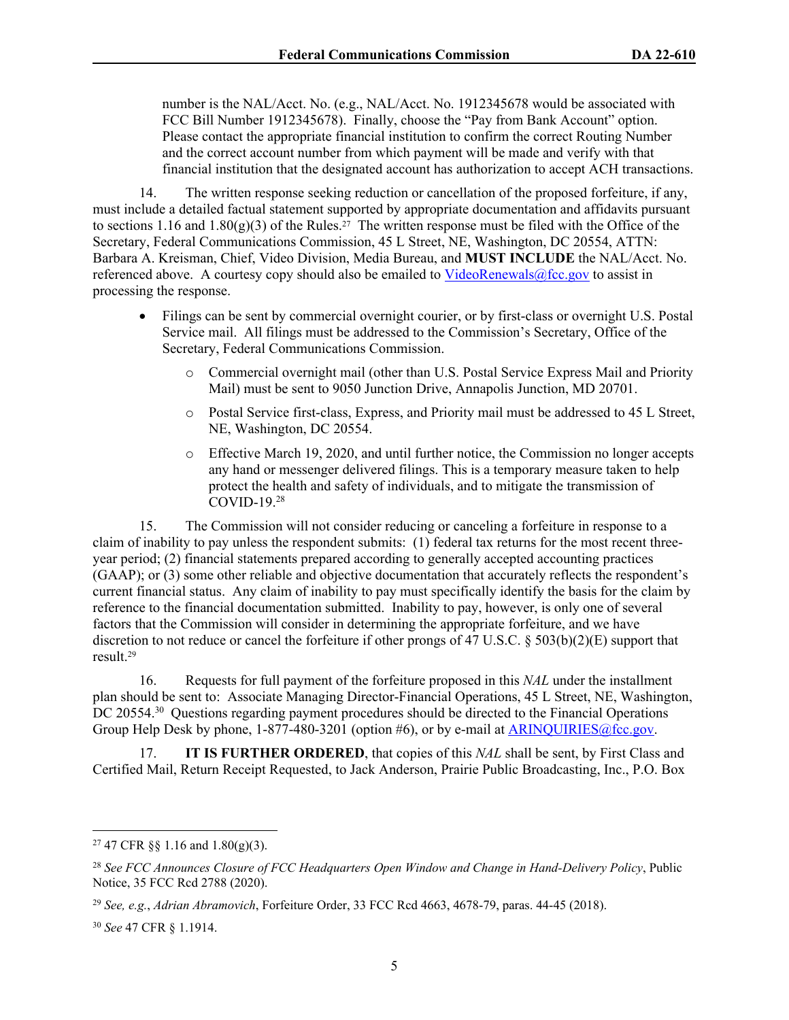number is the NAL/Acct. No. (e.g., NAL/Acct. No. 1912345678 would be associated with FCC Bill Number 1912345678). Finally, choose the "Pay from Bank Account" option. Please contact the appropriate financial institution to confirm the correct Routing Number and the correct account number from which payment will be made and verify with that financial institution that the designated account has authorization to accept ACH transactions.

14. The written response seeking reduction or cancellation of the proposed forfeiture, if any, must include a detailed factual statement supported by appropriate documentation and affidavits pursuant to sections 1.16 and 1.80 $(g)(3)$  of the Rules.<sup>27</sup> The written response must be filed with the Office of the Secretary, Federal Communications Commission, 45 L Street, NE, Washington, DC 20554, ATTN: Barbara A. Kreisman, Chief, Video Division, Media Bureau, and **MUST INCLUDE** the NAL/Acct. No. referenced above. A courtesy copy should also be emailed to  $VideoRenewals@fcc.gov$  to assist in processing the response.

- Filings can be sent by commercial overnight courier, or by first-class or overnight U.S. Postal Service mail. All filings must be addressed to the Commission's Secretary, Office of the Secretary, Federal Communications Commission.
	- o Commercial overnight mail (other than U.S. Postal Service Express Mail and Priority Mail) must be sent to 9050 Junction Drive, Annapolis Junction, MD 20701.
	- o Postal Service first-class, Express, and Priority mail must be addressed to 45 L Street, NE, Washington, DC 20554.
	- o Effective March 19, 2020, and until further notice, the Commission no longer accepts any hand or messenger delivered filings. This is a temporary measure taken to help protect the health and safety of individuals, and to mitigate the transmission of COVID-19.<sup>28</sup>

15. The Commission will not consider reducing or canceling a forfeiture in response to a claim of inability to pay unless the respondent submits: (1) federal tax returns for the most recent threeyear period; (2) financial statements prepared according to generally accepted accounting practices (GAAP); or (3) some other reliable and objective documentation that accurately reflects the respondent's current financial status. Any claim of inability to pay must specifically identify the basis for the claim by reference to the financial documentation submitted. Inability to pay, however, is only one of several factors that the Commission will consider in determining the appropriate forfeiture, and we have discretion to not reduce or cancel the forfeiture if other prongs of 47 U.S.C. § 503(b)(2)(E) support that result.<sup>29</sup>

16. Requests for full payment of the forfeiture proposed in this *NAL* under the installment plan should be sent to: Associate Managing Director-Financial Operations, 45 L Street, NE, Washington, DC 20554.<sup>30</sup> Questions regarding payment procedures should be directed to the Financial Operations Group Help Desk by phone, 1-877-480-3201 (option #6), or by e-mail at [ARINQUIRIES@fcc.gov.](mailto:ARINQUIRIES@fcc.gov)

17. **IT IS FURTHER ORDERED**, that copies of this *NAL* shall be sent, by First Class and Certified Mail, Return Receipt Requested, to Jack Anderson, Prairie Public Broadcasting, Inc., P.O. Box

<sup>&</sup>lt;sup>27</sup> 47 CFR §§ 1.16 and 1.80(g)(3).

<sup>28</sup> *See FCC Announces Closure of FCC Headquarters Open Window and Change in Hand-Delivery Policy*, Public Notice, 35 FCC Rcd 2788 (2020).

<sup>29</sup> *See, e.g.*, *Adrian Abramovich*, Forfeiture Order, 33 FCC Rcd 4663, 4678-79, paras. 44-45 (2018).

<sup>30</sup> *See* 47 CFR § 1.1914.